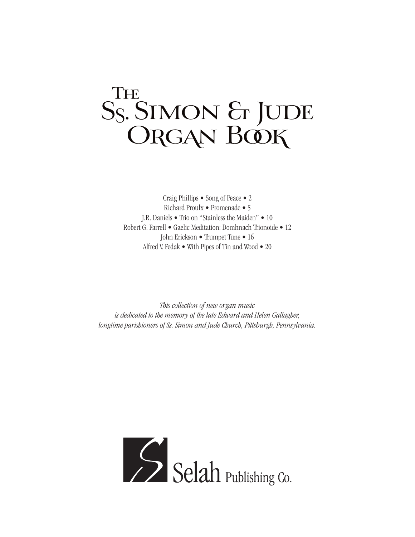## TH<sub>2</sub> Ss. SIMON & JUDE ORGAN BOOK

Craig Phillips • Song of Peace • 2 Richard Proulx • Promenade • 5 J.R. Daniels • Trio on "Stainless the Maiden" • 10 Robert G. Farrell • Gaelic Meditation: Domhnach Trionoide • 12 John Erickson • Trumpet Tune • 16 Alfred V. Fedak • With Pipes of Tin and Wood • 20

*This collection of new organ music is dedicated to the memory of the late Edward and Helen Gallagher, longtime parishioners of Ss. Simon and Jude Church, Pittsburgh, Pennsylvania.*

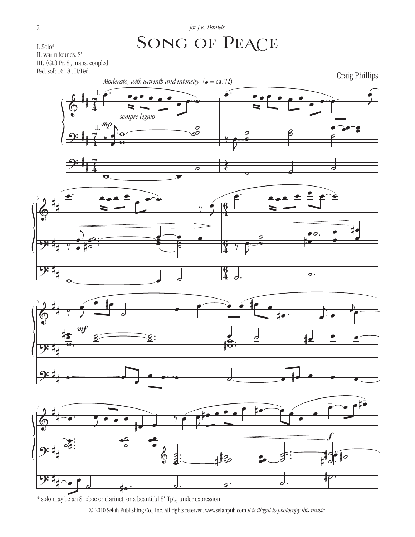## SONG OF PEACE

I. Solo\* I. Solo\* II. warm founds. 8' II. warm founds. 8' III. (Gt.) Pr. 8', mans. coupled III. (Gt.) Pr. 8', mans. coupled Ped.: soft 16', 8', II/Ped. Ped. soft 16', 8', II/Ped.









\* solo may be an 8' oboe or clarinet, or a beautiful 8' Tpt., under expression.

© 2010 Selah Publishing Co., Inc. All rights reserved. www.selahpub.com *It is illegal to photocopy this music.*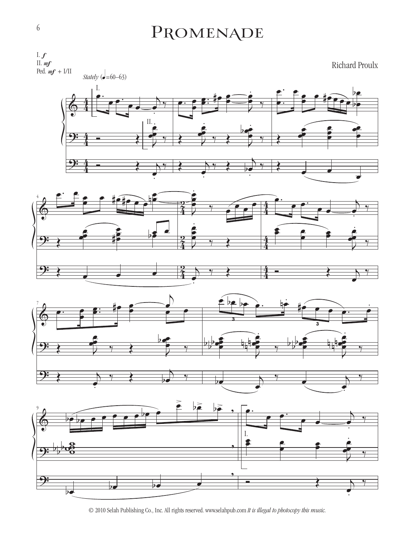## PROMENADE



© 2010 Selah Publishing Co., Inc. All rights reserved. www.selahpub.com *It is illegal to photocopy this music.*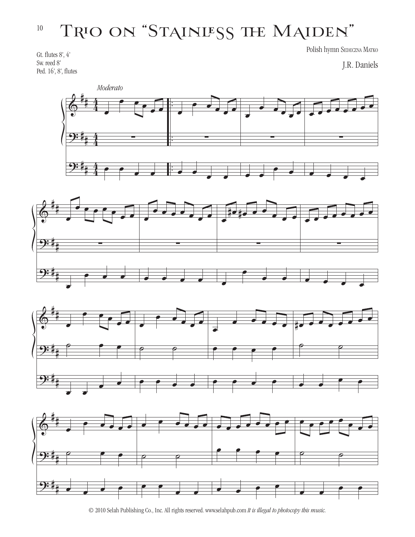## Trio on "Stainless the Maiden" Trio on "Stainless the Maiden" 10

Polish hymn Sedeczna Matko

J.R. Daniels

 $\bm{\phi}$ <u>9:</u> <u>9:</u> # # # # # #  $\frac{4}{4}$ 4  $\frac{4}{4}$ 4  $\frac{4}{4}$ 4 . . . . . . œ œ œ œ  $\frac{1}{\bullet}$ ∑ œ œ œ œ œ  $\epsilon$ ∑  $\overline{\cdot}$ œ œ œ  $\overrightarrow{e}$ ∑  $\overline{\bullet}$  $\overline{\cdot}$  $\epsilon$ ∑ œ œ œ œ *Moderato*







<sup>© 2010</sup> Selah Publishing Co., Inc. All rights reserved. www.selahpub.com *It is illegal to photocopy this music.*

 $G_{\rm eff}$  flutes  $\frac{1}{2}$ Gt. flutes  $8', 4'$ Sw. reed 8'

Ped. 16', 8', flutes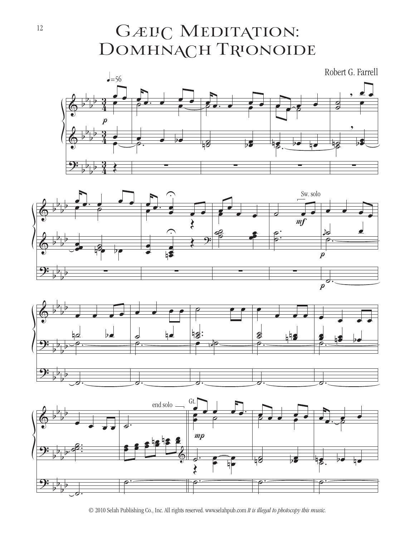GÆLIC MEDITATION: DOMHNACH TRIONOIDE





![](_page_4_Figure_3.jpeg)

![](_page_4_Figure_4.jpeg)

© 2010 Selah Publishing Co., Inc. All rights reserved. www.selahpub.com *It is illegal to photocopy this music.*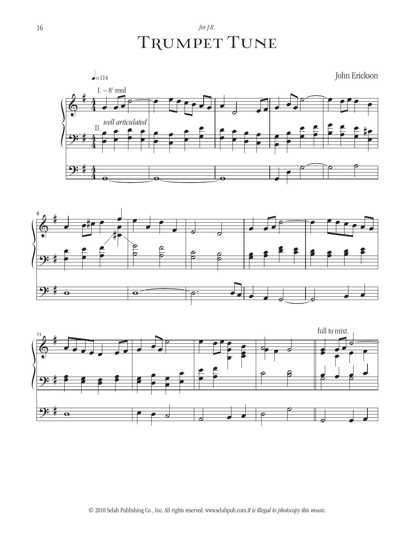*for J.R.* TRUMPET TUNE

![](_page_5_Figure_1.jpeg)

![](_page_5_Figure_2.jpeg)

![](_page_5_Figure_3.jpeg)